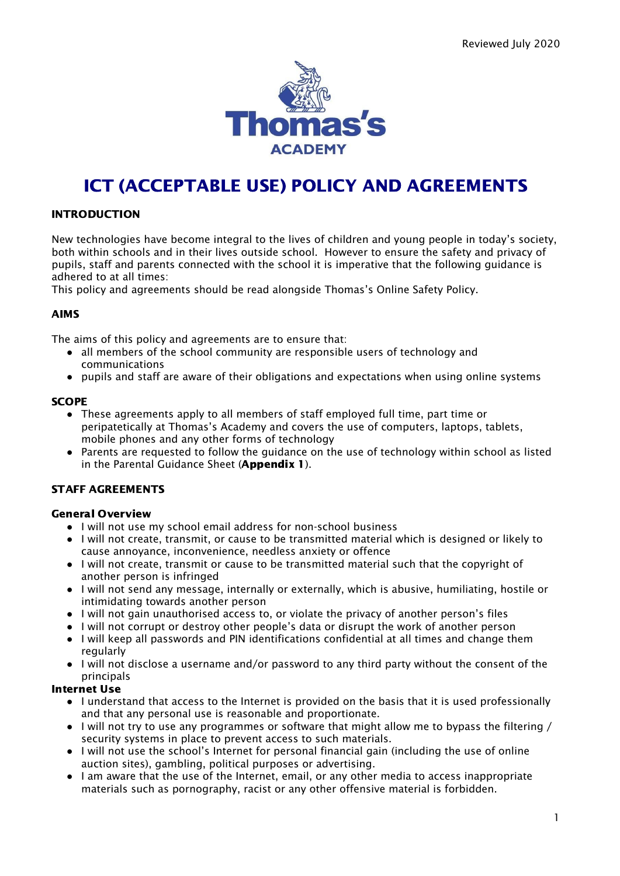

# ICT (ACCEPTABLE USE) POLICY AND AGREEMENTS

# INTRODUCTION

New technologies have become integral to the lives of children and young people in today's society, both within schools and in their lives outside school. However to ensure the safety and privacy of pupils, staff and parents connected with the school it is imperative that the following guidance is adhered to at all times:

This policy and agreements should be read alongside Thomas's Online Safety Policy.

#### AIMS

The aims of this policy and agreements are to ensure that:

- all members of the school community are responsible users of technology and communications
- pupils and staff are aware of their obligations and expectations when using online systems

#### **SCOPE**

- These agreements apply to all members of staff employed full time, part time or peripatetically at Thomas's Academy and covers the use of computers, laptops, tablets, mobile phones and any other forms of technology
- Parents are requested to follow the guidance on the use of technology within school as listed in the Parental Guidance Sheet (**Appendix 1**).

# STAFF AGREEMENTS

# General Overview

- I will not use my school email address for non-school business
- **●** I will not create, transmit, or cause to be transmitted material which is designed or likely to cause annoyance, inconvenience, needless anxiety or offence
- **●** I will not create, transmit or cause to be transmitted material such that the copyright of another person is infringed
- **●** I will not send any message, internally or externally, which is abusive, humiliating, hostile or intimidating towards another person
- **●** I will not gain unauthorised access to, or violate the privacy of another person's files
- **●** I will not corrupt or destroy other people's data or disrupt the work of another person
- **●** I will keep all passwords and PIN identifications confidential at all times and change them regularly
- **●** I will not disclose a username and/or password to any third party without the consent of the principals

# Internet Use

- I understand that access to the Internet is provided on the basis that it is used professionally and that any personal use is reasonable and proportionate.
- I will not try to use any programmes or software that might allow me to bypass the filtering / security systems in place to prevent access to such materials.
- I will not use the school's Internet for personal financial gain (including the use of online auction sites), gambling, political purposes or advertising.
- I am aware that the use of the Internet, email, or any other media to access inappropriate materials such as pornography, racist or any other offensive material is forbidden.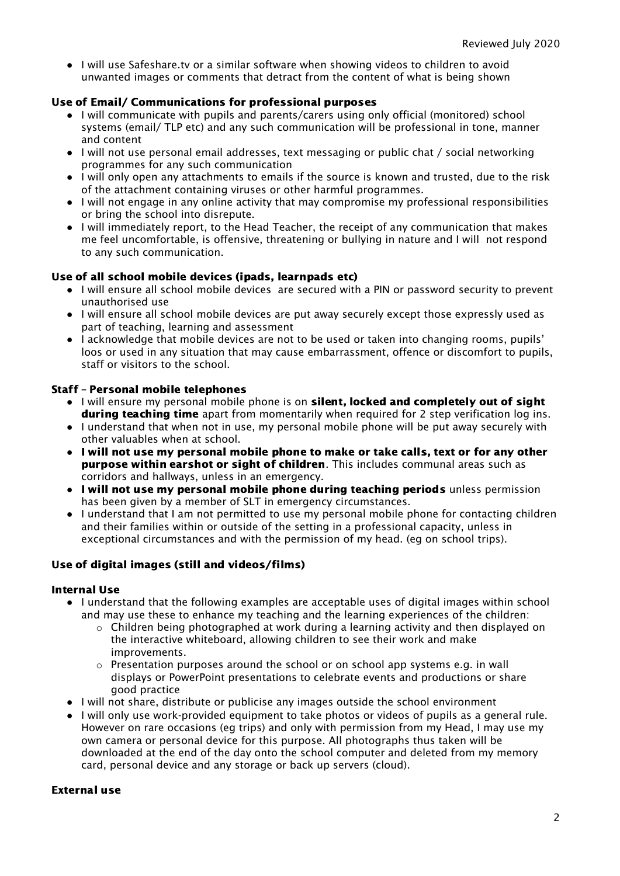● I will use Safeshare.tv or a similar software when showing videos to children to avoid unwanted images or comments that detract from the content of what is being shown

# Use of Email/ Communications for professional purposes

- I will communicate with pupils and parents/carers using only official (monitored) school systems (email/ TLP etc) and any such communication will be professional in tone, manner and content
- I will not use personal email addresses, text messaging or public chat / social networking programmes for any such communication
- I will only open any attachments to emails if the source is known and trusted, due to the risk of the attachment containing viruses or other harmful programmes.
- I will not engage in any online activity that may compromise my professional responsibilities or bring the school into disrepute.
- I will immediately report, to the Head Teacher, the receipt of any communication that makes me feel uncomfortable, is offensive, threatening or bullying in nature and I will not respond to any such communication.

# Use of all school mobile devices (ipads, learnpads etc)

- I will ensure all school mobile devices are secured with a PIN or password security to prevent unauthorised use
- I will ensure all school mobile devices are put away securely except those expressly used as part of teaching, learning and assessment
- I acknowledge that mobile devices are not to be used or taken into changing rooms, pupils' loos or used in any situation that may cause embarrassment, offence or discomfort to pupils, staff or visitors to the school.

# Staff – Personal mobile telephones

- I will ensure my personal mobile phone is on silent, locked and completely out of sight **during teaching time** apart from momentarily when required for 2 step verification log ins.
- I understand that when not in use, my personal mobile phone will be put away securely with other valuables when at school.
- I will not use my personal mobile phone to make or take calls, text or for any other **purpose within earshot or sight of children**. This includes communal areas such as corridors and hallways, unless in an emergency.
- I will not use my personal mobile phone during teaching periods unless permission has been given by a member of SLT in emergency circumstances.
- I understand that I am not permitted to use my personal mobile phone for contacting children and their families within or outside of the setting in a professional capacity, unless in exceptional circumstances and with the permission of my head. (eg on school trips).

# Use of digital images (still and videos/films)

# Internal Use

- I understand that the following examples are acceptable uses of digital images within school and may use these to enhance my teaching and the learning experiences of the children:
	- $\circ$  Children being photographed at work during a learning activity and then displayed on the interactive whiteboard, allowing children to see their work and make improvements.
	- $\circ$  Presentation purposes around the school or on school app systems e.g. in wall displays or PowerPoint presentations to celebrate events and productions or share good practice
- I will not share, distribute or publicise any images outside the school environment
- I will only use work-provided equipment to take photos or videos of pupils as a general rule. However on rare occasions (eg trips) and only with permission from my Head, I may use my own camera or personal device for this purpose. All photographs thus taken will be downloaded at the end of the day onto the school computer and deleted from my memory card, personal device and any storage or back up servers (cloud).

# External use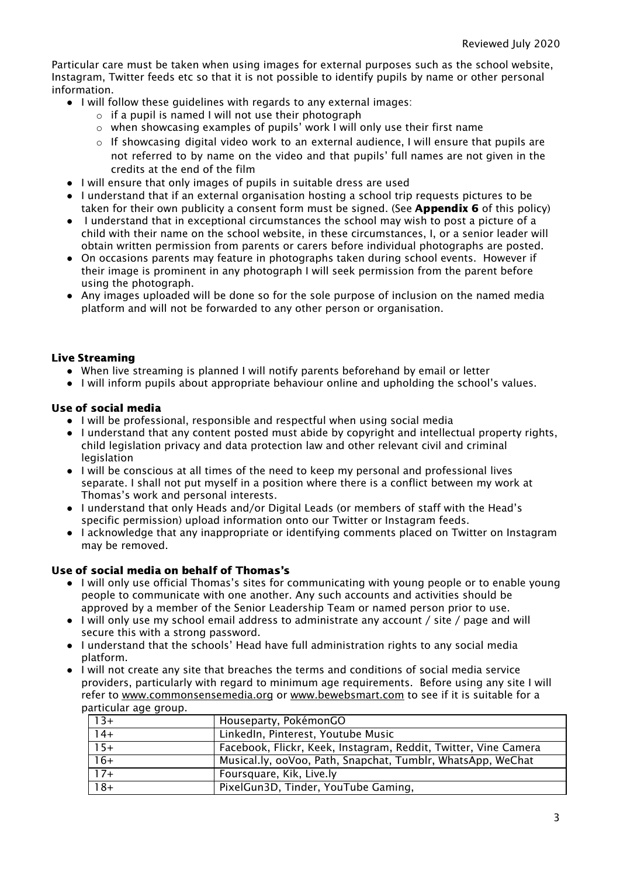Particular care must be taken when using images for external purposes such as the school website, Instagram, Twitter feeds etc so that it is not possible to identify pupils by name or other personal information.

- I will follow these guidelines with regards to any external images:
	- $\circ$  if a pupil is named I will not use their photograph
	- o when showcasing examples of pupils' work I will only use their first name
	- $\circ$  If showcasing digital video work to an external audience, I will ensure that pupils are not referred to by name on the video and that pupils' full names are not given in the credits at the end of the film
- I will ensure that only images of pupils in suitable dress are used
- I understand that if an external organisation hosting a school trip requests pictures to be taken for their own publicity a consent form must be signed. (See **Appendix 6** of this policy)
- I understand that in exceptional circumstances the school may wish to post a picture of a child with their name on the school website, in these circumstances, I, or a senior leader will obtain written permission from parents or carers before individual photographs are posted.
- On occasions parents may feature in photographs taken during school events. However if their image is prominent in any photograph I will seek permission from the parent before using the photograph.
- Any images uploaded will be done so for the sole purpose of inclusion on the named media platform and will not be forwarded to any other person or organisation.

#### Live Streaming

- When live streaming is planned I will notify parents beforehand by email or letter
- I will inform pupils about appropriate behaviour online and upholding the school's values.

#### Use of social media

- I will be professional, responsible and respectful when using social media
- I understand that any content posted must abide by copyright and intellectual property rights, child legislation privacy and data protection law and other relevant civil and criminal legislation
- I will be conscious at all times of the need to keep my personal and professional lives separate. I shall not put myself in a position where there is a conflict between my work at Thomas's work and personal interests.
- I understand that only Heads and/or Digital Leads (or members of staff with the Head's specific permission) upload information onto our Twitter or Instagram feeds.
- I acknowledge that any inappropriate or identifying comments placed on Twitter on Instagram may be removed.

### Use of social media on behalf of Thomas's

- I will only use official Thomas's sites for communicating with young people or to enable young people to communicate with one another. Any such accounts and activities should be approved by a member of the Senior Leadership Team or named person prior to use.
- I will only use my school email address to administrate any account / site / page and will secure this with a strong password.
- I understand that the schools' Head have full administration rights to any social media platform.
- I will not create any site that breaches the terms and conditions of social media service providers, particularly with regard to minimum age requirements. Before using any site I will refer to [www.commonsensemedia.org](http://www.commonsensemedia.org/) or [www.bewebsmart.com](http://www.bewebsmart.com/) to see if it is suitable for a particular age group.

| $13+$           | Houseparty, PokémonGO                                           |
|-----------------|-----------------------------------------------------------------|
| $14+$           | LinkedIn, Pinterest, Youtube Music                              |
| $15+$           | Facebook, Flickr, Keek, Instagram, Reddit, Twitter, Vine Camera |
| $16+$           | Musical.ly, 00V00, Path, Snapchat, Tumblr, WhatsApp, WeChat     |
| $17+$           | Foursquare, Kik, Live.ly                                        |
| $\frac{1}{18+}$ | PixelGun3D, Tinder, YouTube Gaming,                             |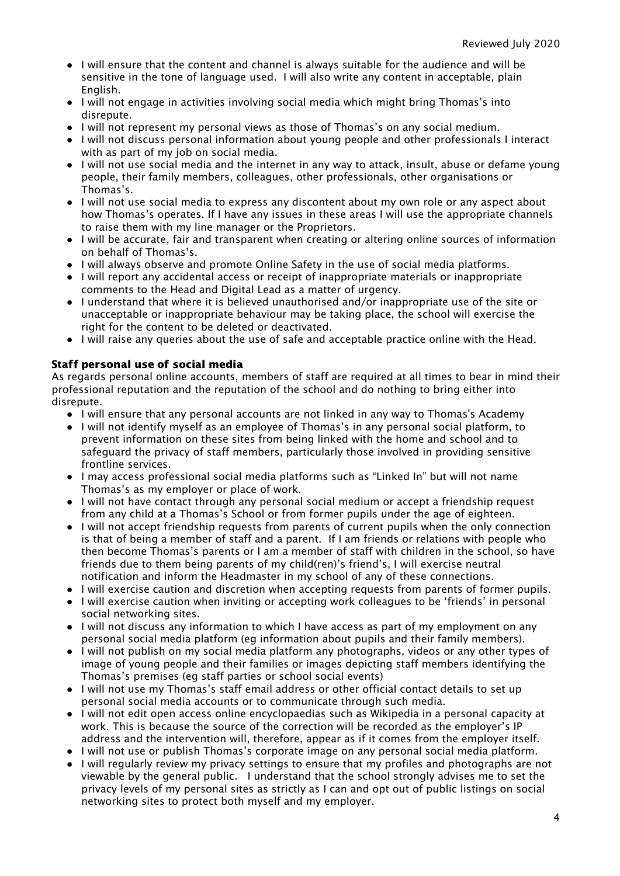- I will ensure that the content and channel is always suitable for the audience and will be sensitive in the tone of language used. I will also write any content in acceptable, plain English.
- I will not engage in activities involving social media which might bring Thomas's into disrepute.
- I will not represent my personal views as those of Thomas's on any social medium.
- I will not discuss personal information about young people and other professionals I interact with as part of my job on social media.
- I will not use social media and the internet in any way to attack, insult, abuse or defame young people, their family members, colleagues, other professionals, other organisations or Thomas's.
- I will not use social media to express any discontent about my own role or any aspect about how Thomas's operates. If I have any issues in these areas I will use the appropriate channels to raise them with my line manager or the Proprietors.
- I will be accurate, fair and transparent when creating or altering online sources of information on behalf of Thomas's.
- I will always observe and promote Online Safety in the use of social media platforms.
- I will report any accidental access or receipt of inappropriate materials or inappropriate comments to the Head and Digital Lead as a matter of urgency.
- I understand that where it is believed unauthorised and/or inappropriate use of the site or unacceptable or inappropriate behaviour may be taking place, the school will exercise the right for the content to be deleted or deactivated.
- I will raise any queries about the use of safe and acceptable practice online with the Head.

# Staff personal use of social media

As regards personal online accounts, members of staff are required at all times to bear in mind their professional reputation and the reputation of the school and do nothing to bring either into disrepute.

- I will ensure that any personal accounts are not linked in any way to Thomas's Academy
- I will not identify myself as an employee of Thomas's in any personal social platform, to prevent information on these sites from being linked with the home and school and to safeguard the privacy of staff members, particularly those involved in providing sensitive frontline services.
- I may access professional social media platforms such as "Linked In" but will not name Thomas's as my employer or place of work.
- I will not have contact through any personal social medium or accept a friendship request from any child at a Thomas's School or from former pupils under the age of eighteen.
- I will not accept friendship requests from parents of current pupils when the only connection is that of being a member of staff and a parent. If I am friends or relations with people who then become Thomas's parents or I am a member of staff with children in the school, so have friends due to them being parents of my child(ren)'s friend's, I will exercise neutral notification and inform the Headmaster in my school of any of these connections.
- I will exercise caution and discretion when accepting requests from parents of former pupils.
- I will exercise caution when inviting or accepting work colleagues to be 'friends' in personal social networking sites.
- I will not discuss any information to which I have access as part of my employment on any personal social media platform (eg information about pupils and their family members).
- I will not publish on my social media platform any photographs, videos or any other types of image of young people and their families or images depicting staff members identifying the Thomas's premises (eg staff parties or school social events)
- I will not use my Thomas's staff email address or other official contact details to set up personal social media accounts or to communicate through such media.
- I will not edit open access online encyclopaedias such as Wikipedia in a personal capacity at work. This is because the source of the correction will be recorded as the employer's IP address and the intervention will, therefore, appear as if it comes from the employer itself.
- I will not use or publish Thomas's corporate image on any personal social media platform.
- I will regularly review my privacy settings to ensure that my profiles and photographs are not viewable by the general public. I understand that the school strongly advises me to set the privacy levels of my personal sites as strictly as I can and opt out of public listings on social networking sites to protect both myself and my employer.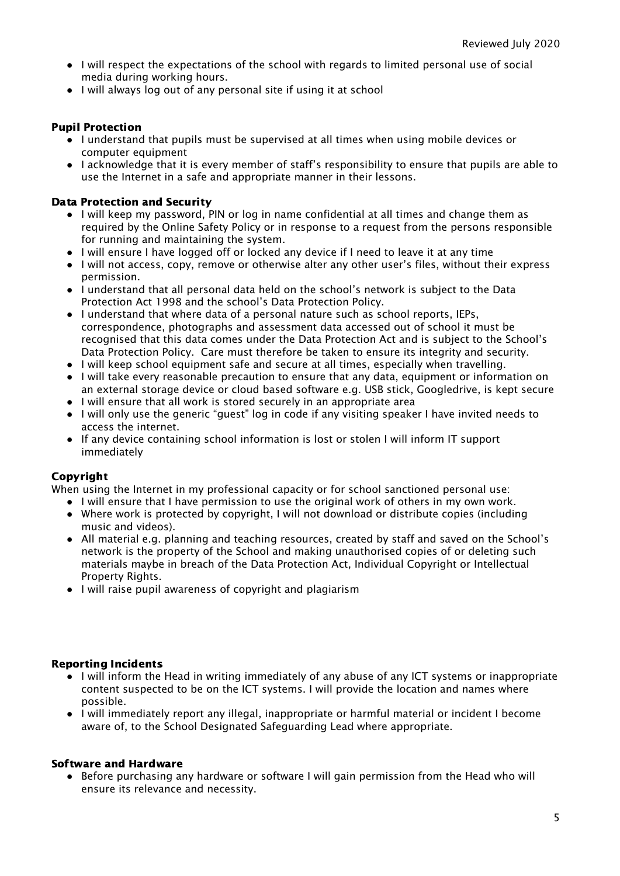- I will respect the expectations of the school with regards to limited personal use of social media during working hours.
- I will always log out of any personal site if using it at school

#### Pupil Protection

- I understand that pupils must be supervised at all times when using mobile devices or computer equipment
- I acknowledge that it is every member of staff's responsibility to ensure that pupils are able to use the Internet in a safe and appropriate manner in their lessons.

#### Data Protection and Security

- I will keep my password, PIN or log in name confidential at all times and change them as required by the Online Safety Policy or in response to a request from the persons responsible for running and maintaining the system.
- I will ensure I have logged off or locked any device if I need to leave it at any time
- I will not access, copy, remove or otherwise alter any other user's files, without their express permission.
- I understand that all personal data held on the school's network is subject to the Data Protection Act 1998 and the school's Data Protection Policy.
- I understand that where data of a personal nature such as school reports, IEPs, correspondence, photographs and assessment data accessed out of school it must be recognised that this data comes under the Data Protection Act and is subject to the School's Data Protection Policy. Care must therefore be taken to ensure its integrity and security.
- I will keep school equipment safe and secure at all times, especially when travelling.
- I will take every reasonable precaution to ensure that any data, equipment or information on an external storage device or cloud based software e.g. USB stick, Googledrive, is kept secure
- I will ensure that all work is stored securely in an appropriate area
- I will only use the generic "guest" log in code if any visiting speaker I have invited needs to access the internet.
- If any device containing school information is lost or stolen I will inform IT support immediately

# Copyright

When using the Internet in my professional capacity or for school sanctioned personal use:

- I will ensure that I have permission to use the original work of others in my own work.
- Where work is protected by copyright, I will not download or distribute copies (including music and videos).
- All material e.g. planning and teaching resources, created by staff and saved on the School's network is the property of the School and making unauthorised copies of or deleting such materials maybe in breach of the Data Protection Act, Individual Copyright or Intellectual Property Rights.
- I will raise pupil awareness of copyright and plagiarism

# Reporting Incidents

- I will inform the Head in writing immediately of any abuse of any ICT systems or inappropriate content suspected to be on the ICT systems. I will provide the location and names where possible.
- I will immediately report any illegal, inappropriate or harmful material or incident I become aware of, to the School Designated Safeguarding Lead where appropriate.

#### Software and Hardware

● Before purchasing any hardware or software I will gain permission from the Head who will ensure its relevance and necessity.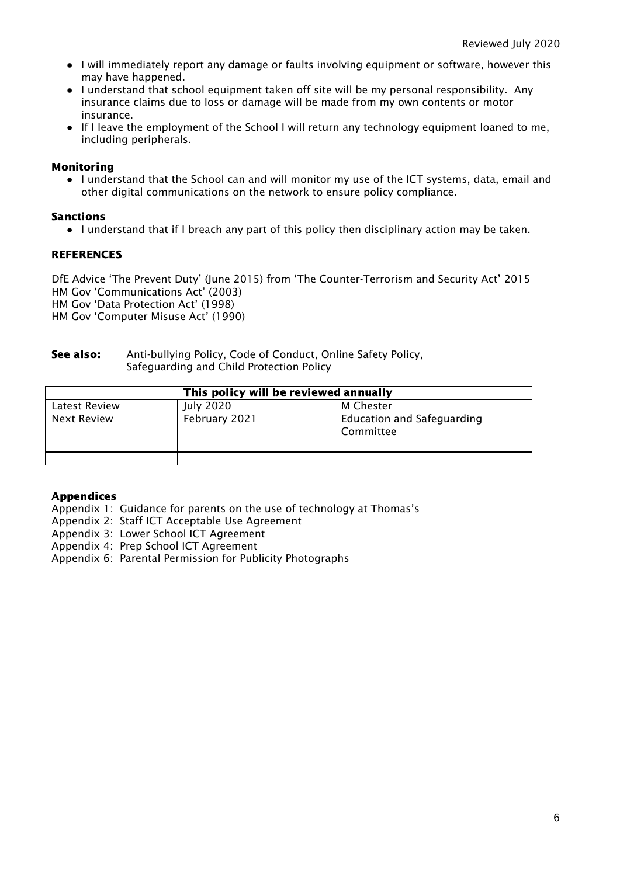- I will immediately report any damage or faults involving equipment or software, however this may have happened.
- I understand that school equipment taken off site will be my personal responsibility. Any insurance claims due to loss or damage will be made from my own contents or motor insurance.
- If I leave the employment of the School I will return any technology equipment loaned to me, including peripherals.

### Monitoring

● I understand that the School can and will monitor my use of the ICT systems, data, email and other digital communications on the network to ensure policy compliance.

#### Sanctions

● I understand that if I breach any part of this policy then disciplinary action may be taken.

#### **REFERENCES**

DfE Advice 'The Prevent Duty' (June 2015) from 'The Counter-Terrorism and Security Act' 2015 HM Gov 'Communications Act' (2003) HM Gov 'Data Protection Act' (1998) HM Gov 'Computer Misuse Act' (1990)

#### See also: Anti-bullying Policy, Code of Conduct, Online Safety Policy, Safeguarding and Child Protection Policy

| This policy will be reviewed annually |               |                                                |  |
|---------------------------------------|---------------|------------------------------------------------|--|
| Latest Review                         | July 2020     | M Chester                                      |  |
| Next Review                           | February 2021 | <b>Education and Safeguarding</b><br>Committee |  |
|                                       |               |                                                |  |
|                                       |               |                                                |  |

#### Appendices

- Appendix 1: Guidance for parents on the use of technology at Thomas's
- Appendix 2: Staff ICT Acceptable Use Agreement
- Appendix 3: Lower School ICT Agreement
- Appendix 4: Prep School ICT Agreement
- Appendix 6: Parental Permission for Publicity Photographs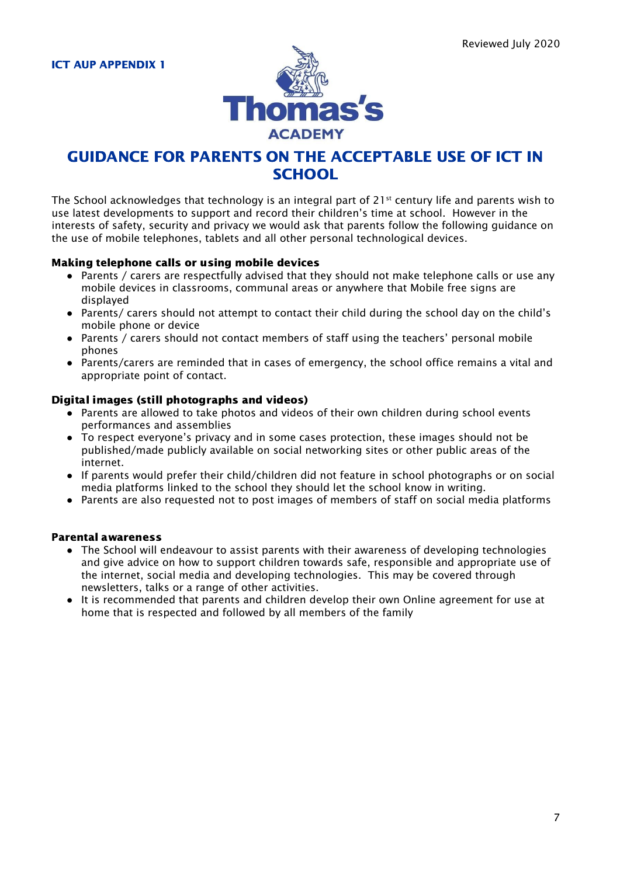

# GUIDANCE FOR PARENTS ON THE ACCEPTABLE USE OF ICT IN **SCHOOL**

The School acknowledges that technology is an integral part of 21st century life and parents wish to use latest developments to support and record their children's time at school. However in the interests of safety, security and privacy we would ask that parents follow the following guidance on the use of mobile telephones, tablets and all other personal technological devices.

#### Making telephone calls or using mobile devices

- Parents / carers are respectfully advised that they should not make telephone calls or use any mobile devices in classrooms, communal areas or anywhere that Mobile free signs are displayed
- Parents/ carers should not attempt to contact their child during the school day on the child's mobile phone or device
- Parents / carers should not contact members of staff using the teachers' personal mobile phones
- Parents/carers are reminded that in cases of emergency, the school office remains a vital and appropriate point of contact.

#### Digital images (still photographs and videos)

- Parents are allowed to take photos and videos of their own children during school events performances and assemblies
- To respect everyone's privacy and in some cases protection, these images should not be published/made publicly available on social networking sites or other public areas of the internet.
- If parents would prefer their child/children did not feature in school photographs or on social media platforms linked to the school they should let the school know in writing.
- Parents are also requested not to post images of members of staff on social media platforms

#### Parental awareness

- The School will endeavour to assist parents with their awareness of developing technologies and give advice on how to support children towards safe, responsible and appropriate use of the internet, social media and developing technologies. This may be covered through newsletters, talks or a range of other activities.
- It is recommended that parents and children develop their own Online agreement for use at home that is respected and followed by all members of the family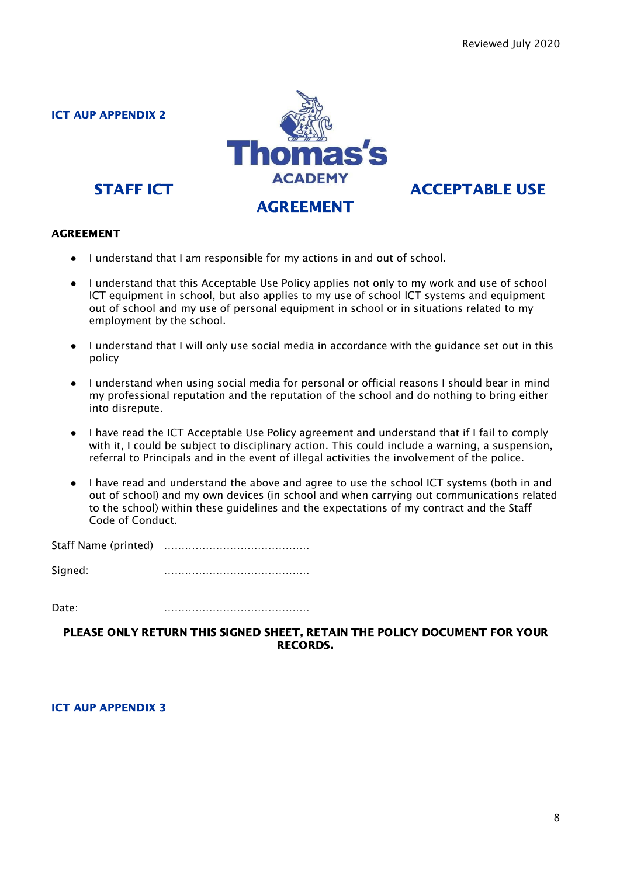

#### AGREEMENT

- I understand that I am responsible for my actions in and out of school.
- I understand that this Acceptable Use Policy applies not only to my work and use of school ICT equipment in school, but also applies to my use of school ICT systems and equipment out of school and my use of personal equipment in school or in situations related to my employment by the school.
- I understand that I will only use social media in accordance with the guidance set out in this policy
- I understand when using social media for personal or official reasons I should bear in mind my professional reputation and the reputation of the school and do nothing to bring either into disrepute.
- I have read the ICT Acceptable Use Policy agreement and understand that if I fail to comply with it, I could be subject to disciplinary action. This could include a warning, a suspension, referral to Principals and in the event of illegal activities the involvement of the police.
- I have read and understand the above and agree to use the school ICT systems (both in and out of school) and my own devices (in school and when carrying out communications related to the school) within these guidelines and the expectations of my contract and the Staff Code of Conduct.

Staff Name (printed) ……………………………………

Signed: ……………………………………

Date: ……………………………………

PLEASE ONLY RETURN THIS SIGNED SHEET, RETAIN THE POLICY DOCUMENT FOR YOUR RECORDS.

ICT AUP APPENDIX 3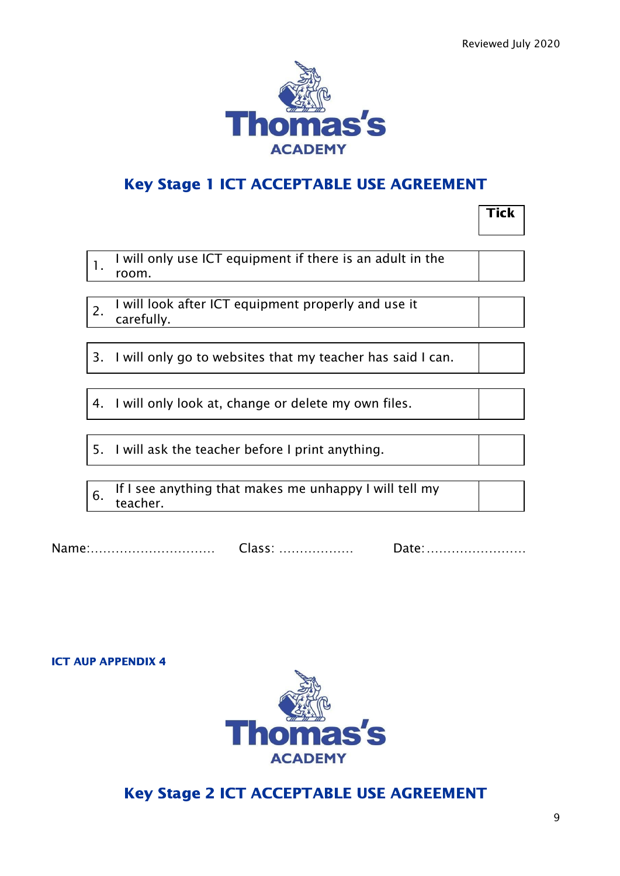

# Key Stage 1 ICT ACCEPTABLE USE AGREEMENT

|                  |                                                                    | Tick |
|------------------|--------------------------------------------------------------------|------|
| $\mathbf{1}$ .   | I will only use ICT equipment if there is an adult in the<br>room. |      |
| $\overline{2}$ . | I will look after ICT equipment properly and use it<br>carefully.  |      |
|                  |                                                                    |      |
|                  | 3. I will only go to websites that my teacher has said I can.      |      |
|                  |                                                                    |      |
|                  | 4. I will only look at, change or delete my own files.             |      |
|                  |                                                                    |      |
|                  | 5. I will ask the teacher before I print anything.                 |      |
|                  |                                                                    |      |
| 6.               | If I see anything that makes me unhappy I will tell my<br>teacher. |      |
|                  |                                                                    |      |

| Name: | UIADD. | Dall |
|-------|--------|------|
|-------|--------|------|

# ICT AUP APPENDIX 4



# Key Stage 2 ICT ACCEPTABLE USE AGREEMENT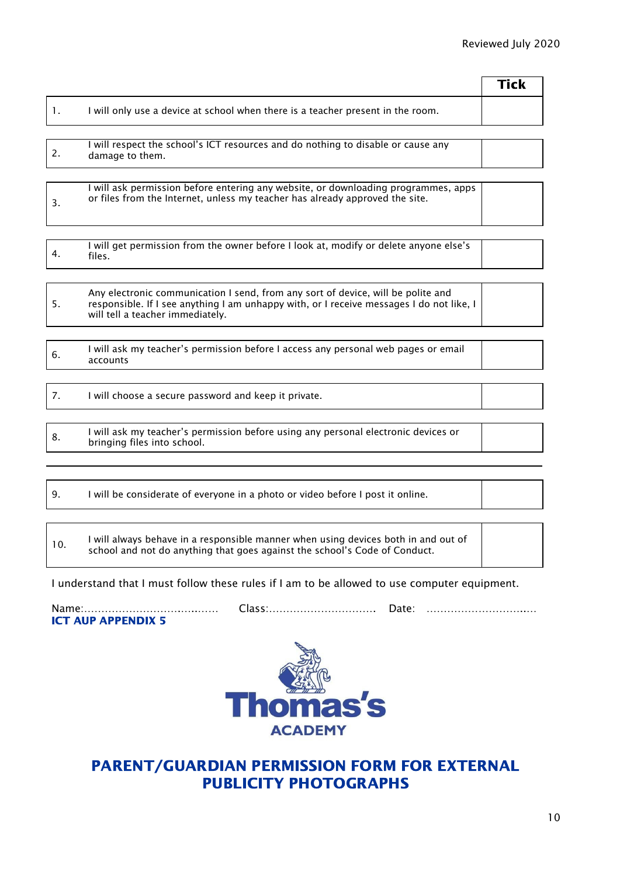|                |                                                                                                                                                                                                                  | <b>Tick</b> |
|----------------|------------------------------------------------------------------------------------------------------------------------------------------------------------------------------------------------------------------|-------------|
| $\mathbf{1}$ . | I will only use a device at school when there is a teacher present in the room.                                                                                                                                  |             |
|                |                                                                                                                                                                                                                  |             |
| 2.             | I will respect the school's ICT resources and do nothing to disable or cause any<br>damage to them.                                                                                                              |             |
|                |                                                                                                                                                                                                                  |             |
| 3.             | I will ask permission before entering any website, or downloading programmes, apps<br>or files from the Internet, unless my teacher has already approved the site.                                               |             |
|                |                                                                                                                                                                                                                  |             |
| 4.             | I will get permission from the owner before I look at, modify or delete anyone else's<br>files.                                                                                                                  |             |
|                |                                                                                                                                                                                                                  |             |
| 5.             | Any electronic communication I send, from any sort of device, will be polite and<br>responsible. If I see anything I am unhappy with, or I receive messages I do not like, I<br>will tell a teacher immediately. |             |
|                |                                                                                                                                                                                                                  |             |
| 6.             | I will ask my teacher's permission before I access any personal web pages or email<br>accounts                                                                                                                   |             |
|                |                                                                                                                                                                                                                  |             |
| 7 <sub>1</sub> | I will choose a secure password and keep it private.                                                                                                                                                             |             |
|                |                                                                                                                                                                                                                  |             |
| 8.             | I will ask my teacher's permission before using any personal electronic devices or<br>bringing files into school.                                                                                                |             |
|                |                                                                                                                                                                                                                  |             |
|                |                                                                                                                                                                                                                  |             |
| 9.             | I will be considerate of everyone in a photo or video before I post it online.                                                                                                                                   |             |
|                |                                                                                                                                                                                                                  |             |

10. I will always behave in a responsible manner when using devices both in and out of school and not do anything that goes against the school's Code of Conduct.

I understand that I must follow these rules if I am to be allowed to use computer equipment.

ICT AUP APPENDIX 5

Name:……………………….…..…… Class:…………………………. Date: ………………………..…



# PARENT/GUARDIAN PERMISSION FORM FOR EXTERNAL PUBLICITY PHOTOGRAPHS